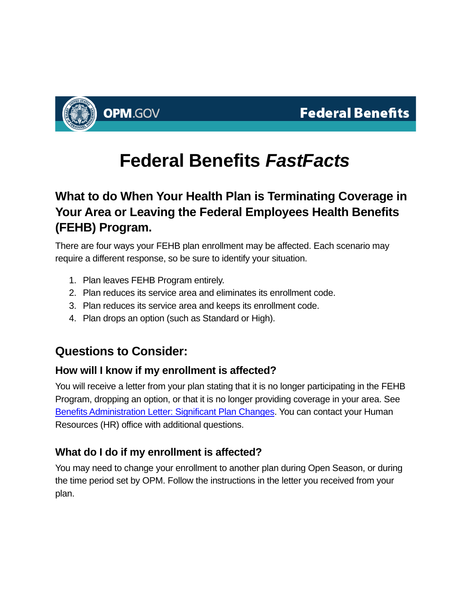

# **Federal Benefits** *FastFacts*

# **What to do When Your Health Plan is Terminating Coverage in Your Area or Leaving the Federal Employees Health Benefits (FEHB) Program.**

There are four ways your FEHB plan enrollment may be affected. Each scenario may require a different response, so be sure to identify your situation.

- 1. Plan leaves FEHB Program entirely.
- 2. Plan reduces its service area and eliminates its enrollment code.
- 3. Plan reduces its service area and keeps its enrollment code.
- 4. Plan drops an option (such as Standard or High).

# **Questions to Consider:**

# **How will I know if my enrollment is affected?**

You will receive a letter from your plan stating that it is no longer participating in the FEHB Program, dropping an option, or that it is no longer providing coverage in your area. See [Benefits Administration Letter: Significant Plan Changes.](https://www.opm.gov/healthcare-insurance/healthcare/reference-materials/#url=BALs) You can contact your Human Resources (HR) office with additional questions.

# **What do I do if my enrollment is affected?**

You may need to change your enrollment to another plan during Open Season, or during the time period set by OPM. Follow the instructions in the letter you received from your plan.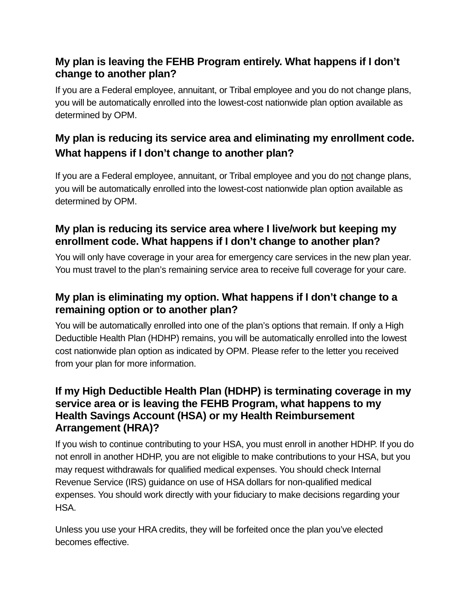# **My plan is leaving the FEHB Program entirely. What happens if I don't change to another plan?**

If you are a Federal employee, annuitant, or Tribal employee and you do not change plans, you will be automatically enrolled into the lowest-cost nationwide plan option available as determined by OPM.

# **My plan is reducing its service area and eliminating my enrollment code. What happens if I don't change to another plan?**

If you are a Federal employee, annuitant, or Tribal employee and you do not change plans, you will be automatically enrolled into the lowest-cost nationwide plan option available as determined by OPM.

## **My plan is reducing its service area where I live/work but keeping my enrollment code. What happens if I don't change to another plan?**

You will only have coverage in your area for emergency care services in the new plan year. You must travel to the plan's remaining service area to receive full coverage for your care.

#### **My plan is eliminating my option. What happens if I don't change to a remaining option or to another plan?**

You will be automatically enrolled into one of the plan's options that remain. If only a High Deductible Health Plan (HDHP) remains, you will be automatically enrolled into the lowest cost nationwide plan option as indicated by OPM. Please refer to the letter you received from your plan for more information.

#### **If my High Deductible Health Plan (HDHP) is terminating coverage in my service area or is leaving the FEHB Program, what happens to my Health Savings Account (HSA) or my Health Reimbursement Arrangement (HRA)?**

If you wish to continue contributing to your HSA, you must enroll in another HDHP. If you do not enroll in another HDHP, you are not eligible to make contributions to your HSA, but you may request withdrawals for qualified medical expenses. You should check Internal Revenue Service (IRS) guidance on use of HSA dollars for non-qualified medical expenses. You should work directly with your fiduciary to make decisions regarding your HSA.

Unless you use your HRA credits, they will be forfeited once the plan you've elected becomes effective.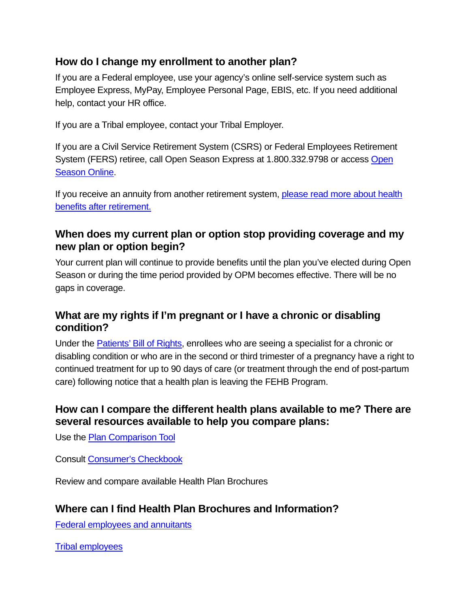#### **How do I change my enrollment to another plan?**

If you are a Federal employee, use your agency's online self-service system such as Employee Express, MyPay, Employee Personal Page, EBIS, etc. If you need additional help, contact your HR office.

If you are a Tribal employee, contact your Tribal Employer.

If you are a Civil Service Retirement System (CSRS) or Federal Employees Retirement System (FERS) retiree, call Open Season Express at 1.800.332.9798 or access [Open](https://retireefehb.opm.gov/)  [Season Online.](https://retireefehb.opm.gov/)

If you receive an annuity from another retirement system, [please read more about health](https://www.opm.gov/healthcare-insurance/healthcare/plan-information/enroll/#annuitants)  [benefits after retirement.](https://www.opm.gov/healthcare-insurance/healthcare/plan-information/enroll/#annuitants)

#### **When does my current plan or option stop providing coverage and my new plan or option begin?**

Your current plan will continue to provide benefits until the plan you've elected during Open Season or during the time period provided by OPM becomes effective. There will be no gaps in coverage.

#### **What are my rights if I'm pregnant or I have a chronic or disabling condition?**

Under the [Patients' Bill of Rights,](https://www.federalregister.gov/documents/2010/06/28/2010-15278/patient-protection-and-affordable-care-act-preexisting-condition-exclusions-lifetime-and-annual) enrollees who are seeing a specialist for a chronic or disabling condition or who are in the second or third trimester of a pregnancy have a right to continued treatment for up to 90 days of care (or treatment through the end of post-partum care) following notice that a health plan is leaving the FEHB Program.

#### **How can I compare the different health plans available to me? There are several resources available to help you compare plans:**

Use the **Plan Comparison Tool** 

Consult [Consumer's Checkbook](http://www.checkbook.org/newhig2/hig.cfm)

Review and compare available Health Plan Brochures

#### **Where can I find Health Plan Brochures and Information?**

[Federal employees](http://www.opm.gov/FEHBbrochures) and annuitants

[Tribal employees](http://www.opm.gov/healthcare-%20%20insurance/tribal-employers/plan-information)